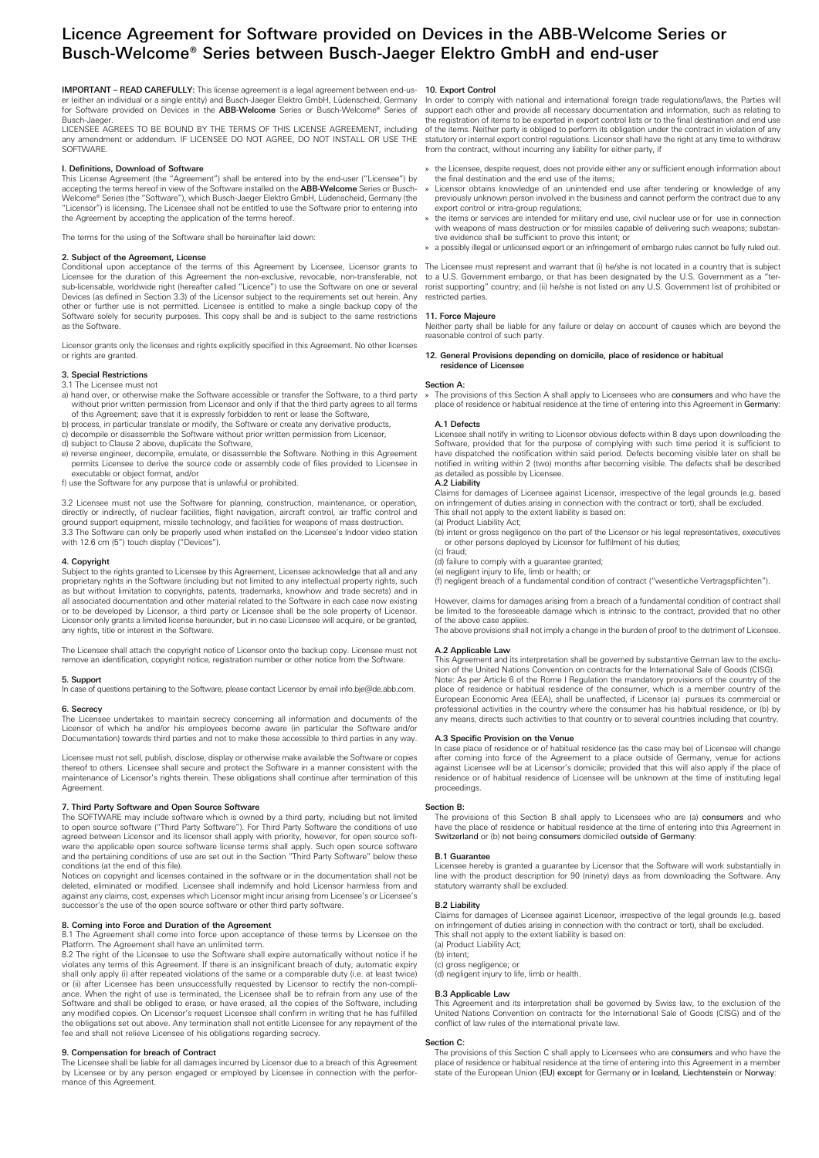# Licence Agreement for Software provided on Devices in the ABB-Welcome Series or Busch-Welcome® Series between Busch-Jaeger Elektro GmbH and end-user

IMPORTANT – READ CAREFULLY: This license agreement is a legal agreement between end-us-er (either an individual or a single entity) and Busch-Jaeger Elektro GmbH, Lüdenscheid, Germany for Software provided on Devices in the ABB-Welcome Series or Busch-Welcome® Series of Busch-Jaeger.

LICENSEE AGREES TO BE BOUND BY THE TERMS OF THIS LICENSE AGREEMENT, including any amendment or addendum. IF LICENSEE DO NOT AGREE, DO NOT INSTALL OR USE THE SOFTWARE

# I. Definitions, Download of Software

This License Agreement (the "Agreement") shall be entered into by the end-user ("Licensee") by accepting the terms hereof in view of the Software installed on the **ABB-Welcome** Series or Busch-<br>Welcome® Series (the "Software"), which Busch-Jaeger Elektro GmbH, Lüdenscheid, Germany (the "Licensor") is licensing. The Licensee shall not be entitled to use the Software prior to entering into the Agreement by accepting the application of the terms hereof.

The terms for the using of the Software shall be hereinafter laid down:

#### 2. Subject of the Agreement, License

Conditional upon acceptance of the terms of this Agreement by Licensee, Licensor grants to Licensee for the duration of this Agreement the non-exclusive, revocable, non-transferable, not sub-licensable, worldwide right (hereafter called "Licence") to use the Software on one or several Devices (as defined in Section 3.3) of the Licensor subject to the requirements set out herein. Any other or further use is not permitted. Licensee is entitled to make a single backup copy of the Software solely for security purposes. This copy shall be and is subject to the same restrictions as the Software.

Licensor grants only the licenses and rights explicitly specified in this Agreement. No other licenses or rights are granted

### 3. Special Restrictions

3.1 The Licensee must not

- a) hand over, or otherwise make the Software accessible or transfer the Software, to a third party without prior written permission from Licensor and only if that the third party agrees to all terms of this Agreement; save that it is expressly forbidden to rent or lease the Software,
- b) process, in particular translate or modify, the Software or create any derivative products,
- c) decompile or disassemble the Software without prior written permission from Licensor,
- d) subject to Clause 2 above, duplicate the Software,
- e) reverse engineer, decompile, emulate, or disassemble the Software. Nothing in this Agreement permits Licensee to derive the source code or assembly code of files provided to Licensee in executable or object format, and/or
- f) use the Software for any purpose that is unlawful or prohibited.

3.2 Licensee must not use the Software for planning, construction, maintenance, or operation, directly or indirectly, of nuclear facilities, flight navigation, aircraft control, air traffic control and ground support equipment, missile technology, and facilities for weapons of mass destruction. 3.3 The Software can only be properly used when installed on the Licensee's Indoor video station with 12.6 cm (5") touch display ("Devices").

#### 4. Copyright

Subject to the rights granted to Licensee by this Agreement, Licensee acknowledge that all and any proprietary rights in the Software (including but not limited to any intellectual property rights, such as but without limitation to copyrights, patents, trademarks, knowhow and trade secrets) and in all associated documentation and other material related to the Software in each case now existing or to be developed by Licensor, a third party or Licensee shall be the sole property of Licensor. Licensor only grants a limited license hereunder, but in no case Licensee will acquire, or be granted, any rights, title or interest in the Software.

The Licensee shall attach the copyright notice of Licensor onto the backup copy. Licensee must not remove an identification, copyright notice, registration number or other notice from the Software.

# 5. Support

In case of questions pertaining to the Software, please contact Licensor by email info.bje@de.abb.com.

# 6. Secrecy

The Licensee undertakes to maintain secrecy concerning all information and documents of the Licensor of which he and/or his employees become aware (in particular the Software and/or Documentation) towards third parties and not to make these accessible to third parties in any way.

Licensee must not sell, publish, disclose, display or otherwise make available the Software or copies thereof to others. Licensee shall secure and protect the Software in a manner consistent with the maintenance of Licensor's rights therein. These obligations shall continue after termination of this Agreement.

# 7. Third Party Software and Open Source Software

The SOFTWARE may include software which is owned by a third party, including but not limited to open source software ("Third Party Software"). For Third Party Software the conditions of use agreed between Licensor and its licensor shall apply with priority, however, for open source software the applicable open source software license terms shall apply. Such open source software and the pertaining conditions of use are set out in the Section "Third Party Software" below these conditions (at the end of this file).

Notices on copyright and licenses contained in the software or in the documentation shall not be deleted, eliminated or modified. Licensee shall indemnify and hold Licensor harmless from and against any claims, cost, expenses which Licensor might incur arising from Licensee's or Licensee's successor's the use of the open source software or other third party software.

# 8. Coming into Force and Duration of the Agreement

8.1 The Agreement shall come into force upon acceptance of these terms by Licensee on the Platform. The Agreement shall have an unlimited term.

8.2 The right of the Licensee to use the Software shall expire automatically without notice if he violates any terms of this Agreement. If there is an insignificant breach of duty, automatic expiry shall only apply (i) after repeated violations of the same or a comparable duty (i.e. at least twice) or (ii) after Licensee has been unsuccessfully requested by Licensor to rectify the non-compliance. When the right of use is terminated, the Licensee shall be to refrain from any use of the Software and shall be obliged to erase, or have erased, all the copies of the Software, including any modified copies. On Licensor's request Licensee shall confirm in writing that he has fulfilled the obligations set out above. Any termination shall not entitle Licensee for any repayment of the fee and shall not relieve Licensee of his obligations regarding secrecy.

**9. Compensation for breach of Contract**<br>The Licensee shall be liable for all damages incurred by Licensor due to a breach of this Agreement by Licensee or by any person engaged or employed by Licensee in connection with the performance of this Agreement.

#### 10. Export Control

In order to comply with national and international foreign trade regulations/laws, the Parties will support each other and provide all necessary documentation and information, such as relating to the registration of items to be exported in export control lists or to the final destination and end use of the items. Neither party is obliged to perform its obligation under the contract in violation of any statutory or internal export control regulations. Licensor shall have the right at any time to withdraw from the contract, without incurring any liability for either party, if

- the Licensee, despite request, does not provide either any or sufficient enough information about the final destination and the end use of the items;
- » Licensor obtains knowledge of an unintended end use after tendering or knowledge of any previously unknown person involved in the business and cannot perform the contract due to any export control or intra-group regulations;
- » the items or services are intended for military end use, civil nuclear use or for use in connection with weapons of mass destruction or for missiles capable of delivering such weapons; substantive evidence shall be sufficient to prove this intent; or
- » a possibly illegal or unlicensed export or an infringement of embargo rules cannot be fully ruled out.

The Licensee must represent and warrant that (i) he/she is not located in a country that is subject to a U.S. Government embargo, or that has been designated by the U.S. Government as a "terrorist supporting" country; and (ii) he/she is not listed on any U.S. Government list of prohibited or restricted parties.

#### 11. Force Majeure

Neither party shall be liable for any failure or delay on account of causes which are beyond the reasonable control of such party.

# 12. General Provisions depending on domicile, place of residence or habitual residence of Licensee

# Section A:

The provisions of this Section A shall apply to Licensees who are consumers and who have the place of residence or habitual residence at the time of entering into this Agreement in Germany:

# A.1 Defects

Licensee shall notify in writing to Licensor obvious defects within 8 days upon downloading the Software, provided that for the purpose of complying with such time period it is sufficient to have dispatched the notification within said period. Defects becoming visible later on shall be notified in writing within 2 (two) months after becoming visible. The defects shall be described as detailed as possible by Licensee.

# A.2 Liability

Claims for damages of Licensee against Licensor, irrespective of the legal grounds (e.g. based on infringement of duties arising in connection with the contract or tort), shall be excluded. This shall not apply to the extent liability is based on:

(a) Product Liability Act;

(b) intent or gross negligence on the part of the Licensor or his legal representatives, executives or other persons deployed by Licensor for fulfilment of his duties;

(c) fraud;

(d) failure to comply with a guarantee granted; (e) negligent injury to life, limb or health; or

(f) negligent breach of a fundamental condition of contract ("wesentliche Vertragspflichten").

However, claims for damages arising from a breach of a fundamental condition of contract shall be limited to the foreseeable damage which is intrinsic to the contract, provided that no other of the above case applies.

The above provisions shall not imply a change in the burden of proof to the detriment of Licensee.

#### A.2 Applicable Law

This Agreement and its interpretation shall be governed by substantive German law to the exclusion of the United Nations Convention on contracts for the International Sale of Goods (CISG). Note: As per Article 6 of the Rome I Regulation the mandatory provisions of the country of the place of residence or habitual residence of the consumer, which is a member country of the European Economic Area (EEA), shall be unaffected, if Licensor (a) pursues its commercial or professional activities in the country where the consumer has his habitual residence, or (b) by any means, directs such activities to that country or to several countries including that country.

#### A.3 Specific Provision on the Venue

In case place of residence or of habitual residence (as the case may be) of Licensee will change after coming into force of the Agreement to a place outside of Germany, venue for actions against Licensee will be at Licensor's domicile; provided that this will also apply if the place of residence or of habitual residence of Licensee will be unknown at the time of instituting legal proceedings.

#### Section B

The provisions of this Section B shall apply to Licensees who are (a) consumers and who have the place of residence or habitual residence at the time of entering into this Agreement in Switzerland or (b) not being consumers domiciled outside of Germany

## **B.1 Guarante**

Licensee hereby is granted a guarantee by Licensor that the Software will work substantially in line with the product description for 90 (ninety) days as from downloading the Software. Any statutory warranty shall be excluded.

# B.2 Liability

Claims for damages of Licensee against Licensor, irrespective of the legal grounds (e.g. based on infringement of duties arising in connection with the contract or tort), shall be excluded. This shall not apply to the extent liability is based on:

(a) Product Liability Act;

(b) intent;

(c) gross negligence; or (d) negligent injury to life, limb or health.

# B.3 Applicable Law

This Agreement and its interpretation shall be governed by Swiss law, to the exclusion of the United Nations Convention on contracts for the International Sale of Goods (CISG) and of the conflict of law rules of the international private law.

#### Section C:

The provisions of this Section C shall apply to Licensees who are consumers and who have the<br>place of residence or habitual residence at the time of entering into this Agreement in a member state of the European Union (EU) except for Germany or in Iceland, Liechtenstein or Norway.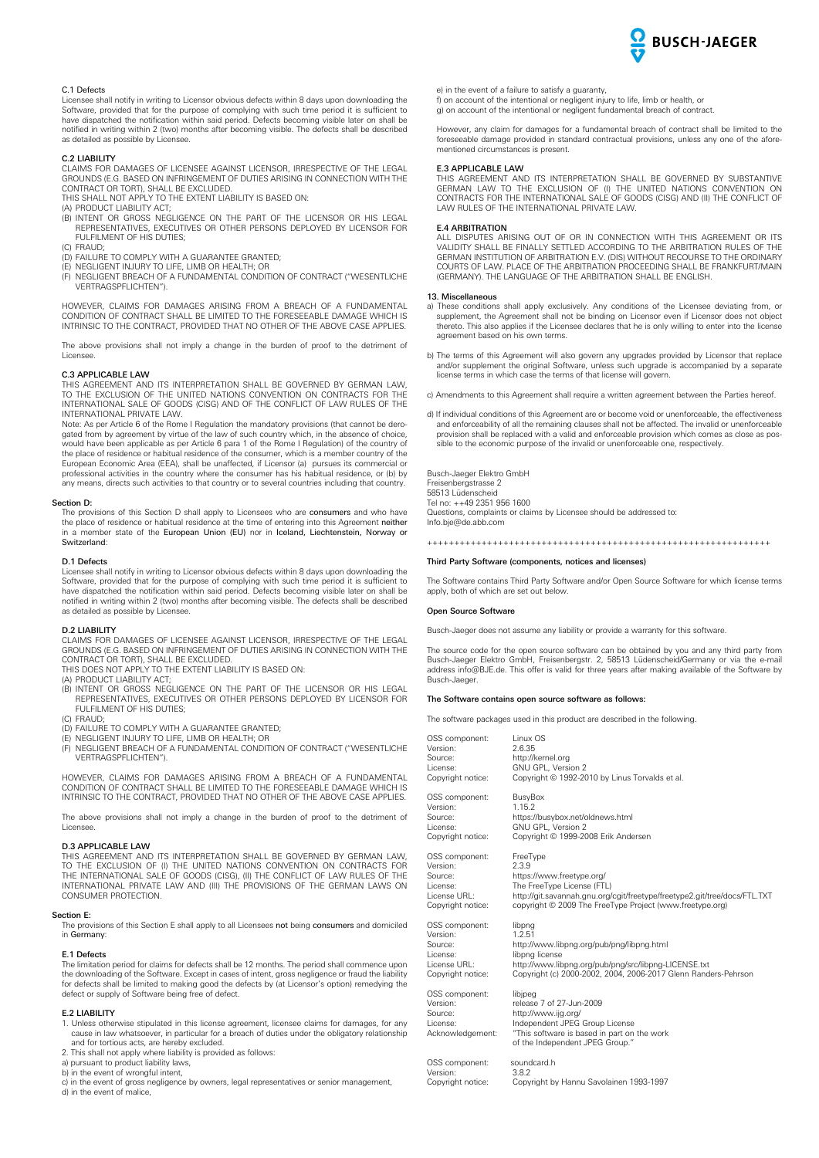

# C.1 Defects

Licensee shall notify in writing to Licensor obvious defects within 8 days upon downloading the Software, provided that for the purpose of complying with such time period it is sufficient to have dispatched the notification within said period. Defects becoming visible later on shall be notified in writing within 2 (two) months after becoming visible. The defects shall be described as detailed as possible by Licensee.

# C.2 LIABILITY

CLAIMS FOR DAMAGES OF LICENSEE AGAINST LICENSOR, IRRESPECTIVE OF THE LEGAL GROUNDS (E.G. BASED ON INFRINGEMENT OF DUTIES ARISING IN CONNECTION WITH THE

- CONTRACT OR TORT), SHALL BE EXCLUDED. THIS SHALL NOT APPLY TO THE EXTENT LIABILITY IS BASED ON:
- (A) PRODUCT LIABILITY ACT; (B) INTENT OR GROSS NEGLIGENCE ON THE PART OF THE LICENSOR OR HIS LEGAL REPRESENTATIVES, EXECUTIVES OR OTHER PERSONS DEPLOYED BY LICENSOR FOR FULFILMENT OF HIS DUTIES:
- (C) FRAUD;
- (D) FAILURE TO COMPLY WITH A GUARANTEE GRANTED; (E) NEGLIGENT INJURY TO LIFE, LIMB OR HEALTH; OR
- (F) NEGLIGENT BREACH OF A FUNDAMENTAL CONDITION OF CONTRACT ("WESENTLICHE VERTRAGSPFLICHTEN").

HOWEVER, CLAIMS FOR DAMAGES ARISING FROM A BREACH OF A FUNDAMENTAL CONDITION OF CONTRACT SHALL BE LIMITED TO THE FORESEEABLE DAMAGE WHICH IS INTRINSIC TO THE CONTRACT, PROVIDED THAT NO OTHER OF THE ABOVE CASE APPLIES.

The above provisions shall not imply a change in the burden of proof to the detriment of Licensee.

#### C.3 APPLICABLE LAW

THIS AGREEMENT AND ITS INTERPRETATION SHALL BE GOVERNED BY GERMAN LAW, TO THE EXCLUSION OF THE UNITED NATIONS CONVENTION ON CONTRACTS FOR THE INTERNATIONAL SALE OF GOODS (CISG) AND OF THE CONFLICT OF LAW RULES OF THE **INTERNATIONAL SALE OF GOOD** 

Note: As per Article 6 of the Rome I Regulation the mandatory provisions (that cannot be derogated from by agreement by virtue of the law of such country which, in the absence of choice, would have been applicable as per Article 6 para 1 of the Rome I Regulation) of the country of the place of residence or habitual residence of the consumer, which is a member country of the European Economic Area (EEA), shall be unaffected, if Licensor (a) pursues its commercial or professional activities in the country where the consumer has his habitual residence, or (b) by any means, directs such activities to that country or to several countries including that country.

#### Section D:

The provisions of this Section D shall apply to Licensees who are consumers and who have the place of residence or habitual residence at the time of entering into this Agreement neither in a member state of the European Union (EU) nor in Iceland, Liechtenstein, Norway or Switzerland:

# D.1 Defects

Licensee shall notify in writing to Licensor obvious defects within 8 days upon downloading the Software, provided that for the purpose of complying with such time period it is sufficient to have dispatched the notification within said period. Defects becoming visible later on shall be notified in writing within 2 (two) months after becoming visible. The defects shall be described as detailed as possible by Licensee.

# D.2 LIABILITY

CLAIMS FOR DAMAGES OF LICENSEE AGAINST LICENSOR, IRRESPECTIVE OF THE LEGAL GROUNDS (E.G. BASED ON INFRINGEMENT OF DUTIES ARISING IN CONNECTION WITH THE CONTRACT OR TORT), SHALL BE EXCLUDED. THIS DOES NOT APPLY TO THE EXTENT LIABILITY IS BASED ON:

- 
- 
- (A) PRODUCT LIABILITY ACT; (B) INTENT OR GROSS NEGLIGENCE ON THE PART OF THE LICENSOR OR HIS LEGAL REPRESENTATIVES, EXECUTIVES OR OTHER PERSONS DEPLOYED BY LICENSOR FOR FULFILMENT OF HIS DUTIES;
- (C) FRAUD;
- (D) FAILURE TO COMPLY WITH A GUARANTEE GRANTED; (E) NEGLIGENT INJURY TO LIFE, LIMB OR HEALTH; OR
- (F) NEGLIGENT BREACH OF A FUNDAMENTAL CONDITION OF CONTRACT ("WESENTLICHE VERTRAGSPFLICHTEN").

HOWEVER, CLAIMS FOR DAMAGES ARISING FROM A BREACH OF A FUNDAMENTAL CONDITION OF CONTRACT SHALL BE LIMITED TO THE FORESEEABLE DAMAGE WHICH IS INTRINSIC TO THE CONTRACT, PROVIDED THAT NO OTHER OF THE ABOVE CASE APPLIES.

The above provisions shall not imply a change in the burden of proof to the detriment of Licensee.

# D.3 APPLICABLE LAW

THIS AGREEMENT AND ITS INTERPRETATION SHALL BE GOVERNED BY GERMAN LAW, TO THE EXCLUSION OF (I) THE UNITED NATIONS CONVENTION ON CONTRACTS FOR THE INTERNATIONAL SALE OF GOODS (CISG), (II) THE CONFLICT OF LAW RULES OF THE INTERNATIONAL PRIVATE LAW AND (III) THE PROVISIONS OF THE GERMAN LAWS ON CONSUMER PROTECTION.

#### Section E:

The provisions of this Section E shall apply to all Licensees not being consumers and domiciled in Germany:

#### E.1 Defects

The limitation period for claims for defects shall be 12 months. The period shall commence upon the downloading of the Software. Except in cases of intent, gross negligence or fraud the liability for defects shall be limited to making good the defects by (at Licensor's option) remedying the defect or supply of Software being free of defect.

# E.2 LIABILITY

1. Unless otherwise stipulated in this license agreement, licensee claims for damages, for any cause in law whatsoever, in particular for a breach of duties under the obligatory relationship and for tortious acts, are hereby excluded.

- 2. This shall not apply where liability is provided as follows: a) pursuant to product liability laws,
- 
- b) in the event of wrongful intent,

c) in the event of gross negligence by owners, legal representatives or senior management, d) in the event of malice,

e) in the event of a failure to satisfy a guaranty, f) on account of the intentional or negligent injury to life, limb or health, or

g) on account of the intentional or negligent fundamental breach of contract.

However, any claim for damages for a fundamental breach of contract shall be limited to the foreseeable damage provided in standard contractual provisions, unless any one of the aforementioned circumstances is present.

# E.3 APPLICABLE LAW

THIS AGREEMENT AND ITS INTERPRETATION SHALL BE GOVERNED BY SUBSTANTIVE GERMAN LAW TO THE EXCLUSION OF (I) THE UNITED NATIONS CONVENTION ON CONTRACTS FOR THE INTERNATIONAL SALE OF GOODS (CISG) AND (II) THE CONFLICT OF LAW RULES OF THE INTERNATIONAL PRIVATE LAW.

#### E.4 ARBITRATION

ALL DISPUTES ARISING OUT OF OR IN CONNECTION WITH THIS AGREEMENT OR ITS VALIDITY SHALL BE FINALLY SETTLED ACCORDING TO THE ARBITRATION RULES OF THE GERMAN INSTITUTION OF ARBITRATION E.V. (DIS) WITHOUT RECOURSE TO THE ORDINARY COURTS OF LAW. PLACE OF THE ARBITRATION PROCEEDING SHALL BE FRANKFURT/MAIN (GERMANY). THE LANGUAGE OF THE ARBITRATION SHALL BE ENGLISH.

# 13. Miscellaneous

- a) These conditions shall apply exclusively. Any conditions of the Licensee deviating from, or supplement, the Agreement shall not be binding on Licensor even if Licensor does not object thereto. This also applies if the Licensee declares that he is only willing to enter into the license agreement based on his own terms.
- b) The terms of this Agreement will also govern any upgrades provided by Licensor that replace and/or supplement the original Software, unless such upgrade is accompanied by a separate license terms in which case the terms of that license will govern.
- c) Amendments to this Agreement shall require a written agreement between the Parties hereof.
- d) If individual conditions of this Agreement are or become void or unenforceable, the effectiveness and enforceability of all the remaining clauses shall not be affected. The invalid or unenforceable provision shall be replaced with a valid and enforceable provision which comes as close as pos-sible to the economic purpose of the invalid or unenforceable one, respectively.

Busch-Jaeger Elektro GmbH Freisenbergstrasse 2 58513 Lüdenscheid Tel no: ++49 2351 956 1600 Questions, complaints or claims by Licensee should be addressed to: Info.bje@de.abb.com

+++++++++++++++++++++++++++++++++++++++++++++++++++++++++++++++

# Third Party Software (components, notices and licenses)

The Software contains Third Party Software and/or Open Source Software for which license terms apply, both of which are set out below.

# Open Source Software

Busch-Jaeger does not assume any liability or provide a warranty for this software.

The source code for the open source software can be obtained by you and any third party from Busch-Jaeger Elektro GmbH, Freisenbergstr. 2, 58513 Lüdenscheid/Germany or via the e-mail address info@BJE.de. This offer is valid for three years after making available of the Software by Busch-Jaeger.

# The Software contains open source software as follows:

The software packages used in this product are described in the following.

OSS component: Linux OS<br>Version: 2.6.35 Version<br>Source: http://kernel.org License: GNU GPL, Version 2<br>Copyright notice: Copyright © 1992-20 Copyright © 1992-2010 by Linus Torvalds et al. OSS component: BusyBox<br>Version: 1.15.2 Version:<br>Source: https://busybox.net/oldnews.html License: GNU GPL, Version 2 Copyright notice: Copyright © 1999-2008 Erik Andersen OSS component: FreeType Version: 2.3.9<br>Source: https https://www.freetype.org License: The FreeType License (FTL) License URL: http://git.savannah.gnu.org/cgit/freetype/freetype2.git/tree/docs/FTL.TXT Copyright notice: copyright © 2009 The FreeType Project (www.freetype.org) OSS component: libpng Version: 1.2.51<br>Source: http:// http://www.libpng.org/pub/png/libpng.html License: libpng license<br>
License URL: http://www.lik License URL: http://www.libpng.org/pub/png/src/libpng-LICENSE.txt Copyright notice: Copyright (c) 2000-2002, 2004, 2006-2017 Glenn Randers-Pehrson OSS component<br>Version: OSS component: libjpeg<br>
Version: release 7 of 27-Jun-2009<br>
Source: http://www.jig.org/ Source: http://www.ijg.org/ License: Independent JPEG Group License Acknowledgement: "This software is based in part on the work of the Independent JPEG Group." OSS component: soundcard.h<br>Version: 3.8.2 Version:<br>Convright notice Copyright by Hannu Savolainen 1993-1997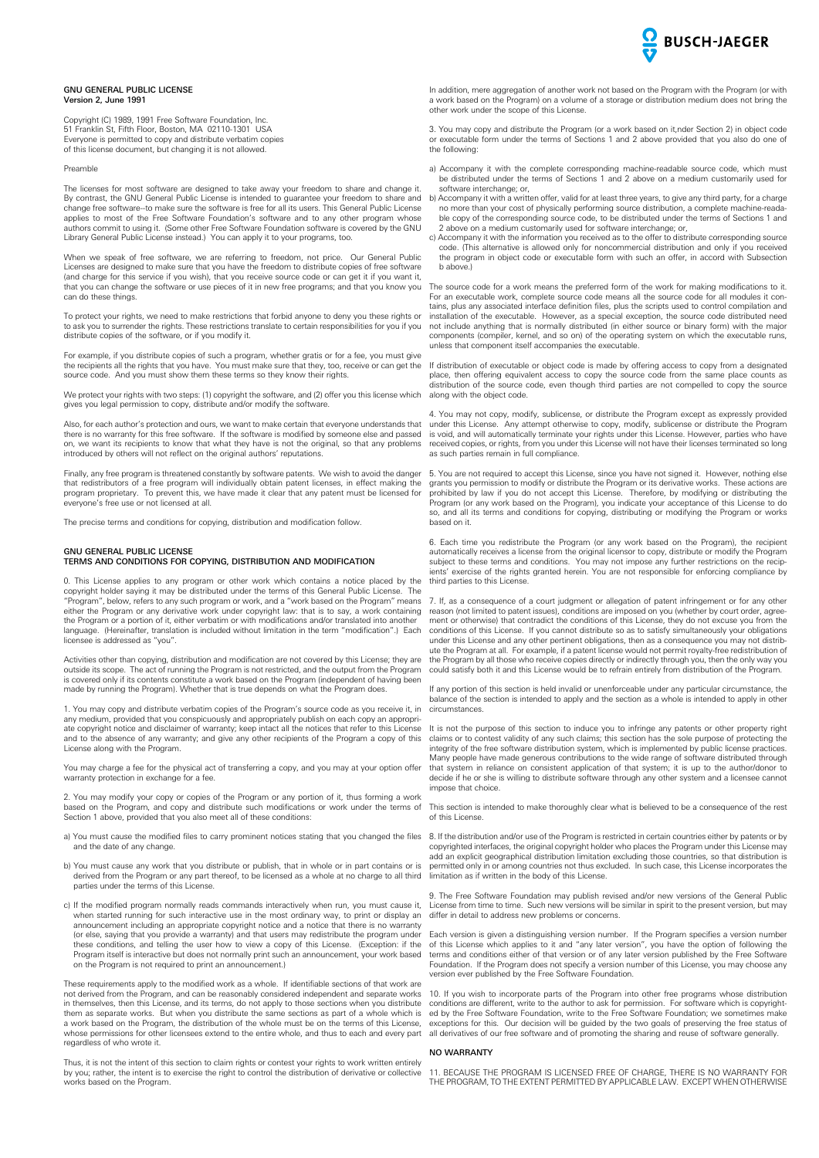

# GNU GENERAL PUBLIC LICENSE  $V$ ersion 2, June 1991

Copyright (C) 1989, 1991 Free Software Foundation, Inc. 51 Franklin St, Fifth Floor, Boston, MA 02110-1301 USA Everyone is permitted to copy and distribute verbatim copies of this license document, but changing it is not allowed.

Preamble

The licenses for most software are designed to take away your freedom to share and change it. By contrast, the GNU General Public License is intended to guarantee your freedom to share and change free software--to make sure the software is free for all its users. This General Public License applies to most of the Free Software Foundation's software and to any other program whose authors commit to using it. (Some other Free Software Foundation software is covered by the GNU Library General Public License instead.) You can apply it to your programs, too.

When we speak of free software, we are referring to freedom, not price. Our General Public Licenses are designed to make sure that you have the freedom to distribute copies of free software (and charge for this service if you wish), that you receive source code or can get it if you want it, that you can change the software or use pieces of it in new free programs; and that you know you can do these things.

To protect your rights, we need to make restrictions that forbid anyone to deny you these rights or to ask you to surrender the rights. These restrictions translate to certain responsibilities for you if you distribute copies of the software, or if you modify it.

For example, if you distribute copies of such a program, whether gratis or for a fee, you must give the recipients all the rights that you have. You must make sure that they, too, receive or can get the source code. And you must show them these terms so they know their rights.

We protect your rights with two steps: (1) copyright the software, and (2) offer you this license which gives you legal permission to copy, distribute and/or modify the software.

Also, for each author's protection and ours, we want to make certain that everyone understands that there is no warranty for this free software. If the software is modified by someone else and passed on, we want its recipients to know that what they have is not the original, so that any problems introduced by others will not reflect on the original authors' reputations.

Finally, any free program is threatened constantly by software patents. We wish to avoid the danger that redistributors of a free program will individually obtain patent licenses, in effect making the program proprietary. To prevent this, we have made it clear that any patent must be licensed for everyone's free use or not licensed at all.

The precise terms and conditions for copying, distribution and modification follow.

# GNU GENERAL PUBLIC LICENSE

# TERMS AND CONDITIONS FOR COPYING, DISTRIBUTION AND MODIFICATION

0. This License applies to any program or other work which contains a notice placed by the copyright holder saying it may be distributed under the terms of this General Public License. The "Program", below, refers to any such program or work, and a "work based on the Program" means either the Program or any derivative work under copyright law: that is to say, a work containing the Program or a portion of it, either verbatim or with modifications and/or translated into another language. (Hereinafter, translation is included without limitation in the term "modification".) Each licensee is addressed as "you".

Activities other than copying, distribution and modification are not covered by this License; they are outside its scope. The act of running the Program is not restricted, and the output from the Program is covered only if its contents constitute a work based on the Program (independent of having been made by running the Program). Whether that is true depends on what the Program does.

1. You may copy and distribute verbatim copies of the Program's source code as you receive it, in any medium, provided that you conspicuously and appropriately publish on each copy an appropriate copyright notice and disclaimer of warranty; keep intact all the notices that refer to this License and to the absence of any warranty; and give any other recipients of the Program a copy of this License along with the Program.

You may charge a fee for the physical act of transferring a copy, and you may at your option offer warranty protection in exchange for a fee.

2. You may modify your copy or copies of the Program or any portion of it, thus forming a work based on the Program, and copy and distribute such modifications or work under the terms of Section 1 above, provided that you also meet all of these conditions:

- a) You must cause the modified files to carry prominent notices stating that you changed the files and the date of any change.
- b) You must cause any work that you distribute or publish, that in whole or in part contains or is derived from the Program or any part thereof, to be licensed as a whole at no charge to all third parties under the terms of this License.
- c) If the modified program normally reads commands interactively when run, you must cause it, when started running for such interactive use in the most ordinary way, to print or display an announcement including an appropriate copyright notice and a notice that there is no warranty (or else, saying that you provide a warranty) and that users may redistribute the program under these conditions, and telling the user how to view a copy of this License. (Exception: if the Program itself is interactive but does not normally print such an announcement, your work based on the Program is not required to print an announcement.)

These requirements apply to the modified work as a whole. If identifiable sections of that work are not derived from the Program, and can be reasonably considered independent and separate works in themselves, then this License, and its terms, do not apply to those sections when you distribute them as separate works. But when you distribute the same sections as part of a whole which is a work based on the Program, the distribution of the whole must be on the terms of this License, whose permissions for other licensees extend to the entire whole, and thus to each and every part regardless of who wrote it.

Thus, it is not the intent of this section to claim rights or contest your rights to work written entirely by you; rather, the intent is to exercise the right to control the distribution of derivative or collective works based on the Program.

In addition, mere aggregation of another work not based on the Program with the Program (or with a work based on the Program) on a volume of a storage or distribution medium does not bring the other work under the scope of this License.

3. You may copy and distribute the Program (or a work based on it,nder Section 2) in object code or executable form under the terms of Sections 1 and 2 above provided that you also do one of the following:

- a) Accompany it with the complete corresponding machine-readable source code, which must be distributed under the terms of Sections 1 and 2 above on a medium customarily used for software interchange; or,
- b) Accompany it with a written offer, valid for at least three years, to give any third party, for a charge no more than your cost of physically performing source distribution, a complete machine-readable copy of the corresponding source code, to be distributed under the terms of Sections 1 and 2 above on a medium customarily used for software interchange; or,
- c) Accompany it with the information you received as to the offer to distribute corresponding source code. (This alternative is allowed only for noncommercial distribution and only if you received the program in object code or executable form with such an offer, in accord with Subsection b above.)

The source code for a work means the preferred form of the work for making modifications to it. For an executable work, complete source code means all the source code for all modules it contains, plus any associated interface definition files, plus the scripts used to control compilation and installation of the executable. However, as a special exception, the source code distributed need not include anything that is normally distributed (in either source or binary form) with the major components (compiler, kernel, and so on) of the operating system on which the executable runs, unless that component itself accompanies the executable.

If distribution of executable or object code is made by offering access to copy from a designated place, then offering equivalent access to copy the source code from the same place counts as distribution of the source code, even though third parties are not compelled to copy the source along with the object code.

4. You may not copy, modify, sublicense, or distribute the Program except as expressly provided under this License. Any attempt otherwise to copy, modify, sublicense or distribute the Program is void, and will automatically terminate your rights under this License. However, parties who have received copies, or rights, from you under this License will not have their licenses terminated so long as such parties remain in full compliance.

5. You are not required to accept this License, since you have not signed it. However, nothing else grants you permission to modify or distribute the Program or its derivative works. These actions are prohibited by law if you do not accept this License. Therefore, by modifying or distributing the Program (or any work based on the Program), you indicate your acceptance of this License to do so, and all its terms and conditions for copying, distributing or modifying the Program or works based on it.

6. Each time you redistribute the Program (or any work based on the Program), the recipient automatically receives a license from the original licensor to copy, distribute or modify the Program subject to these terms and conditions. You may not impose any further restrictions on the recip-ients' exercise of the rights granted herein. You are not responsible for enforcing compliance by third parties to this License.

7. If, as a consequence of a court judgment or allegation of patent infringement or for any other reason (not limited to patent issues), conditions are imposed on you (whether by court order, agreement or otherwise) that contradict the conditions of this License, they do not excuse you from the conditions of this License. If you cannot distribute so as to satisfy simultaneously your obligations under this License and any other pertinent obligations, then as a consequence you may not distribute the Program at all. For example, if a patent license would not permit royalty-free redistribution of the Program by all those who receive copies directly or indirectly through you, then the only way you could satisfy both it and this License would be to refrain entirely from distribution of the Program.

If any portion of this section is held invalid or unenforceable under any particular circumstance, the balance of the section is intended to apply and the section as a whole is intended to apply in other circumstances.

It is not the purpose of this section to induce you to infringe any patents or other property right claims or to contest validity of any such claims; this section has the sole purpose of protecting the integrity of the free software distribution system, which is implemented by public license practices. Many people have made generous contributions to the wide range of software distributed through that system in reliance on consistent application of that system; it is up to the author/donor to decide if he or she is willing to distribute software through any other system and a licensee cannot impose that choice.

This section is intended to make thoroughly clear what is believed to be a consequence of the rest of this License.

8. If the distribution and/or use of the Program is restricted in certain countries either by patents or by copyrighted interfaces, the original copyright holder who places the Program under this License may add an explicit geographical distribution limitation excluding those countries, so that distribution is permitted only in or among countries not thus excluded. In such case, this License incorporates the limitation as if written in the body of this License.

The Free Software Foundation may publish revised and/or new versions of the General Public License from time to time. Such new versions will be similar in spirit to the present version, but may differ in detail to address new problems or concerns.

Each version is given a distinguishing version number. If the Program specifies a version number of this License which applies to it and "any later version", you have the option of following the terms and conditions either of that version or of any later version published by the Free Software Foundation. If the Program does not specify a version number of this License, you may choose any version ever published by the Free Software Foundation.

10. If you wish to incorporate parts of the Program into other free programs whose distribution conditions are different, write to the author to ask for permission. For software which is copyrighted by the Free Software Foundation, write to the Free Software Foundation; we sometimes make exceptions for this. Our decision will be guided by the two goals of preserving the free status of all derivatives of our free software and of promoting the sharing and reuse of software generally.

# NO WARRANTY

11. BECAUSE THE PROGRAM IS LICENSED FREE OF CHARGE, THERE IS NO WARRANTY FOR THE PROGRAM, TO THE EXTENT PERMITTED BY APPLICABLE LAW. EXCEPT WHEN OTHERWISE